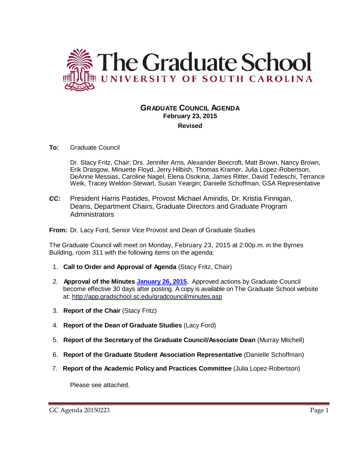

## **GRADUATE COUNCIL AGENDA February 23, 2015 Revised**

#### **To:** Graduate Council

Dr. Stacy Fritz, Chair; Drs. Jennifer Arns, Alexander Beecroft, Matt Brown, Nancy Brown, Erik Drasgow, Minuette Floyd, Jerry Hilbish, Thomas Kramer, Julia Lopez-Robertson, DeAnne Messias, Caroline Nagel, Elena Osokina, James Ritter, David Tedeschi, Terrance Weik, Tracey Weldon-Stewart, Susan Yeargin; Danielle Schoffman, GSA Representative

*CC:* President Harris Pastides, Provost Michael Amiridis, Dr. Kristia Finnigan, Deans, Department Chairs, Graduate Directors and Graduate Program **Administrators** 

**From:** Dr. Lacy Ford, Senior Vice Provost and Dean of Graduate Studies

The Graduate Council will meet on Monday, February 23, 2015 at 2:00p.m. in the Byrnes Building, room 311 with the following items on the agenda:

- 1. **Call to Order and Approval of Agenda** (Stacy Fritz, Chair)
- 2. **Approval of the Minutes [January 26, 2015.](http://gradschool.sc.edu/facstaff/gradcouncil/2014/GC%20Minutes%201%2026%2015.pdf)** Approved actions by Graduate Council become effective 30 days after posting. A copy is available on The Graduate School website at:<http://app.gradschool.sc.edu/gradcouncil/minutes.asp>
- 3. **Report of the Chair** (Stacy Fritz)
- 4. **Report of the Dean of Graduate Studies** (Lacy Ford)
- 5. **Report of the Secretary of the Graduate Council/Associate Dean** (Murray Mitchell)
- 6. **Report of the Graduate Student Association Representative** (Danielle Schoffman)
- 7. **Report of the Academic Policy and Practices Committee** (Julia Lopez-Robertson)

Please see attached.

GC Agenda 20150223 Page 1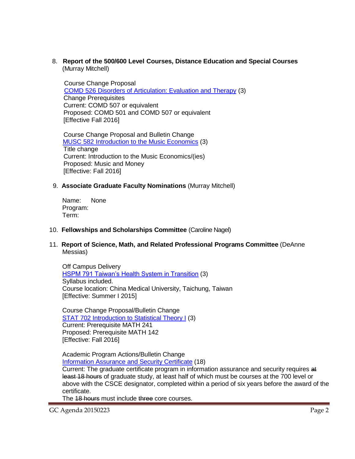8. **Report of the 500/600 Level Courses, Distance Education and Special Courses** (Murray Mitchell)

 Course Change Proposal COMD 526 [Disorders of Articulation: Evaluation and Therapy](http://gradschool.sc.edu/facstaff/gradcouncil/2014/COMD%20526%20CCP.pdf) (3) Change Prerequisites Current: COMD 507 or equivalent Proposed: COMD 501 and COMD 507 or equivalent [Effective Fall 2016]

 Course Change Proposal and Bulletin Change [MUSC 582 Introduction to the Music Economics](http://gradschool.sc.edu/facstaff/gradcouncil/2014/MUSC%20582_Redacted.pdf) (3) Title change Current: Introduction to the Music Economics/(ies) Proposed: Music and Money [Effective: Fall 2016]

### 9. **Associate Graduate Faculty Nominations** (Murray Mitchell)

Name: None Program: Term:

#### 10. **Fellowships and Scholarships Committee** (Caroline Nagel)

11. **Report of Science, Math, and Related Professional Programs Committee** (DeAnne Messias)

Off Campus Delivery [HSPM 791 Taiwan's Health System in Transition](http://gradschool.sc.edu/facstaff/gradcouncil/2014/HSPM%20791%20Taiwan) (3) Syllabus included. Course location: China Medical University, Taichung, Taiwan [Effective: Summer I 2015]

Course Change Proposal/Bulletin Change [STAT 702 Introduction to Statistical Theory I](http://gradschool.sc.edu/facstaff/gradcouncil/2014/STAT702%20CCP_Redacted.pdf) (3) Current: Prerequisite MATH 241 Proposed: Prerequisite MATH 142 [Effective: Fall 2016]

Academic Program Actions/Bulletin Change [Information Assurance and Security](http://gradschool.sc.edu/facstaff/gradcouncil/2014/Computer%20Science%20Info%20Assurance%20APA_Redacted1.pdf) Certificate (18)

Current: The graduate certificate program in information assurance and security requires at least 18 hours of graduate study, at least half of which must be courses at the 700 level or above with the CSCE designator, completed within a period of six years before the award of the certificate.

The 48 hours must include three core courses.

GC Agenda 20150223 Page 2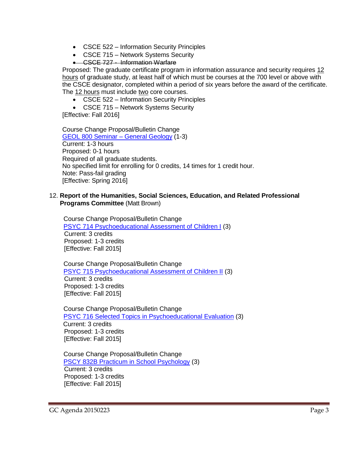- CSCE 522 Information Security Principles
- CSCE 715 Network Systems Security
- CSCE 727 Information Warfare

Proposed: The graduate certificate program in information assurance and security requires 12 hours of graduate study, at least half of which must be courses at the 700 level or above with the CSCE designator, completed within a period of six years before the award of the certificate. The 12 hours must include two core courses.

- CSCE 522 Information Security Principles
- CSCE 715 Network Systems Security

[Effective: Fall 2016]

Course Change Proposal/Bulletin Change [GEOL 800 Seminar –](http://gradschool.sc.edu/facstaff/gradcouncil/2014/GEOL%20800_Redacted.pdf) General Geology (1-3) Current: 1-3 hours Proposed: 0-1 hours Required of all graduate students. No specified limit for enrolling for 0 credits, 14 times for 1 credit hour. Note: Pass-fail grading [Effective: Spring 2016]

### 12. **Report of the Humanities, Social Sciences, Education, and Related Professional Programs Committee** (Matt Brown)

 Course Change Proposal/Bulletin Change [PSYC 714 Psychoeducational Assessment of Children I](http://gradschool.sc.edu/facstaff/gradcouncil/2014/PSYC%20714%20CCP_Redacted1.pdf) (3) Current: 3 credits Proposed: 1-3 credits [Effective: Fall 2015]

 Course Change Proposal/Bulletin Change [PSYC 715 Psychoeducational Assessment of Children II](http://gradschool.sc.edu/facstaff/gradcouncil/2014/PSYC%20715%20CCP_Redacted1.pdf) (3) Current: 3 credits Proposed: 1-3 credits [Effective: Fall 2015]

 Course Change Proposal/Bulletin Change [PSYC 716 Selected Topics in Psychoeducational Evaluation](http://gradschool.sc.edu/facstaff/gradcouncil/2014/PSYC%20716%20CCP_Redacted1.pdf) (3) Current: 3 credits Proposed: 1-3 credits [Effective: Fall 2015]

 Course Change Proposal/Bulletin Change [PSCY 832B Practicum in School Psychology](http://gradschool.sc.edu/facstaff/gradcouncil/2014/PSYC%20832B%20CCP_Redacted.pdf) (3) Current: 3 credits Proposed: 1-3 credits [Effective: Fall 2015]